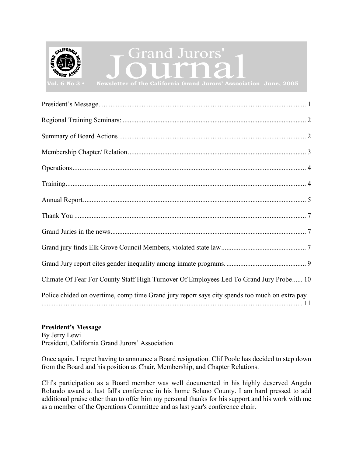<span id="page-0-0"></span>

| Climate Of Fear For County Staff High Turnover Of Employees Led To Grand Jury Probe 10        |
|-----------------------------------------------------------------------------------------------|
| Police chided on overtime, comp time Grand jury report says city spends too much on extra pay |

## **President's Message**

By Jerry Lewi President, California Grand Jurors' Association

Once again, I regret having to announce a Board resignation. Clif Poole has decided to step down from the Board and his position as Chair, Membership, and Chapter Relations.

Clif's participation as a Board member was well documented in his highly deserved Angelo Rolando award at last fall's conference in his home Solano County. I am hard pressed to add additional praise other than to offer him my personal thanks for his support and his work with me as a member of the Operations Committee and as last year's conference chair.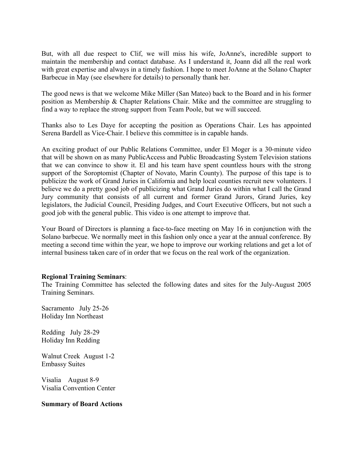<span id="page-1-0"></span>But, with all due respect to Clif, we will miss his wife, JoAnne's, incredible support to maintain the membership and contact database. As I understand it, Joann did all the real work with great expertise and always in a timely fashion. I hope to meet JoAnne at the Solano Chapter Barbecue in May (see elsewhere for details) to personally thank her.

The good news is that we welcome Mike Miller (San Mateo) back to the Board and in his former position as Membership & Chapter Relations Chair. Mike and the committee are struggling to find a way to replace the strong support from Team Poole, but we will succeed.

Thanks also to Les Daye for accepting the position as Operations Chair. Les has appointed Serena Bardell as Vice-Chair. I believe this committee is in capable hands.

An exciting product of our Public Relations Committee, under El Moger is a 30-minute video that will be shown on as many PublicAccess and Public Broadcasting System Television stations that we can convince to show it. El and his team have spent countless hours with the strong support of the Soroptomist (Chapter of Novato, Marin County). The purpose of this tape is to publicize the work of Grand Juries in California and help local counties recruit new volunteers. I believe we do a pretty good job of publicizing what Grand Juries do within what I call the Grand Jury community that consists of all current and former Grand Jurors, Grand Juries, key legislators, the Judicial Council, Presiding Judges, and Court Executive Officers, but not such a good job with the general public. This video is one attempt to improve that.

Your Board of Directors is planning a face-to-face meeting on May 16 in conjunction with the Solano barbecue. We normally meet in this fashion only once a year at the annual conference. By meeting a second time within the year, we hope to improve our working relations and get a lot of internal business taken care of in order that we focus on the real work of the organization.

### **Regional Training Seminars**:

The Training Committee has selected the following dates and sites for the July-August 2005 Training Seminars.

Sacramento July 25-26 Holiday Inn Northeast

Redding July 28-29 Holiday Inn Redding

Walnut Creek August 1-2 Embassy Suites

Visalia August 8-9 Visalia Convention Center

### **Summary of Board Actions**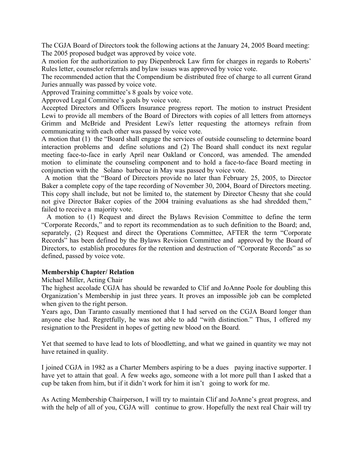<span id="page-2-0"></span>The CGJA Board of Directors took the following actions at the January 24, 2005 Board meeting: The 2005 proposed budget was approved by voice vote.

A motion for the authorization to pay Diepenbrock Law firm for charges in regards to Roberts' Rules letter, counselor referrals and bylaw issues was approved by voice vote.

The recommended action that the Compendium be distributed free of charge to all current Grand Juries annually was passed by voice vote.

Approved Training committee's 8 goals by voice vote.

Approved Legal Committee's goals by voice vote.

Accepted Directors and Officers Insurance progress report. The motion to instruct President Lewi to provide all members of the Board of Directors with copies of all letters from attorneys Grimm and McBride and President Lewi's letter requesting the attorneys refrain from communicating with each other was passed by voice vote.

A motion that (1) the "Board shall engage the services of outside counseling to determine board interaction problems and define solutions and (2) The Board shall conduct its next regular meeting face-to-face in early April near Oakland or Concord, was amended. The amended motion to eliminate the counseling component and to hold a face-to-face Board meeting in conjunction with the Solano barbecue in May was passed by voice vote.

 A motion that the "Board of Directors provide no later than February 25, 2005, to Director Baker a complete copy of the tape recording of November 30, 2004, Board of Directors meeting. This copy shall include, but not be limited to, the statement by Director Chesny that she could not give Director Baker copies of the 2004 training evaluations as she had shredded them," failed to receive a majority vote.

 A motion to (1) Request and direct the Bylaws Revision Committee to define the term "Corporate Records," and to report its recommendation as to such definition to the Board; and, separately, (2) Request and direct the Operations Committee, AFTER the term "Corporate Records" has been defined by the Bylaws Revision Committee and approved by the Board of Directors, to establish procedures for the retention and destruction of "Corporate Records" as so defined, passed by voice vote.

### **Membership Chapter/ Relation**

Michael Miller, Acting Chair

The highest accolade CGJA has should be rewarded to Clif and JoAnne Poole for doubling this Organization's Membership in just three years. It proves an impossible job can be completed when given to the right person.

Years ago, Dan Taranto casually mentioned that I had served on the CGJA Board longer than anyone else had. Regretfully, he was not able to add "with distinction." Thus, I offered my resignation to the President in hopes of getting new blood on the Board.

Yet that seemed to have lead to lots of bloodletting, and what we gained in quantity we may not have retained in quality.

I joined CGJA in 1982 as a Charter Members aspiring to be a dues paying inactive supporter. I have yet to attain that goal. A few weeks ago, someone with a lot more pull than I asked that a cup be taken from him, but if it didn't work for him it isn't going to work for me.

As Acting Membership Chairperson, I will try to maintain Clif and JoAnne's great progress, and with the help of all of you, CGJA will continue to grow. Hopefully the next real Chair will try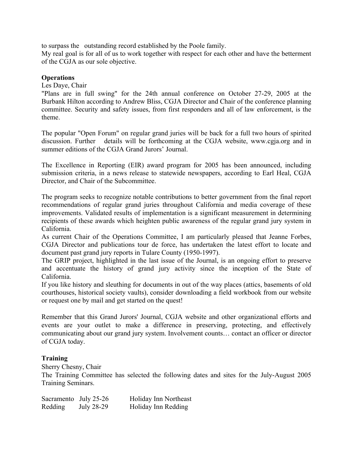<span id="page-3-0"></span>to surpass the outstanding record established by the Poole family.

My real goal is for all of us to work together with respect for each other and have the betterment of the CGJA as our sole objective.

### **Operations**

### Les Daye, Chair

"Plans are in full swing" for the 24th annual conference on October 27-29, 2005 at the Burbank Hilton according to Andrew Bliss, CGJA Director and Chair of the conference planning committee. Security and safety issues, from first responders and all of law enforcement, is the theme.

The popular "Open Forum" on regular grand juries will be back for a full two hours of spirited discussion. Further details will be forthcoming at the CGJA website, www.cgja.org and in summer editions of the CGJA Grand Jurors' Journal.

The Excellence in Reporting (EIR) award program for 2005 has been announced, including submission criteria, in a news release to statewide newspapers, according to Earl Heal, CGJA Director, and Chair of the Subcommittee.

The program seeks to recognize notable contributions to better government from the final report recommendations of regular grand juries throughout California and media coverage of these improvements. Validated results of implementation is a significant measurement in determining recipients of these awards which heighten public awareness of the regular grand jury system in California.

As current Chair of the Operations Committee, I am particularly pleased that Jeanne Forbes, CGJA Director and publications tour de force, has undertaken the latest effort to locate and document past grand jury reports in Tulare County (1950-1997).

The GRIP project, highlighted in the last issue of the Journal, is an ongoing effort to preserve and accentuate the history of grand jury activity since the inception of the State of California.

If you like history and sleuthing for documents in out of the way places (attics, basements of old courthouses, historical society vaults), consider downloading a field workbook from our website or request one by mail and get started on the quest!

Remember that this Grand Jurors' Journal, CGJA website and other organizational efforts and events are your outlet to make a difference in preserving, protecting, and effectively communicating about our grand jury system. Involvement counts… contact an officer or director of CGJA today.

### **Training**

Sherry Chesny, Chair

The Training Committee has selected the following dates and sites for the July-August 2005 Training Seminars.

| Sacramento July 25-26 |            | Holiday Inn Northeast |
|-----------------------|------------|-----------------------|
| Redding               | July 28-29 | Holiday Inn Redding   |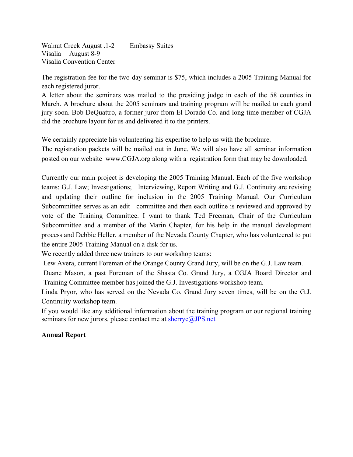<span id="page-4-0"></span>Walnut Creek August .1-2 Embassy Suites Visalia August 8-9 Visalia Convention Center

The registration fee for the two-day seminar is \$75, which includes a 2005 Training Manual for each registered juror.

A letter about the seminars was mailed to the presiding judge in each of the 58 counties in March. A brochure about the 2005 seminars and training program will be mailed to each grand jury soon. Bob DeQuattro, a former juror from El Dorado Co. and long time member of CGJA did the brochure layout for us and delivered it to the printers.

We certainly appreciate his volunteering his expertise to help us with the brochure.

The registration packets will be mailed out in June. We will also have all seminar information posted on our website www.CGJA.org along with a registration form that may be downloaded.

Currently our main project is developing the 2005 Training Manual. Each of the five workshop teams: G.J. Law; Investigations; Interviewing, Report Writing and G.J. Continuity are revising and updating their outline for inclusion in the 2005 Training Manual. Our Curriculum Subcommittee serves as an edit committee and then each outline is reviewed and approved by vote of the Training Committee. I want to thank Ted Freeman, Chair of the Curriculum Subcommittee and a member of the Marin Chapter, for his help in the manual development process and Debbie Heller, a member of the Nevada County Chapter, who has volunteered to put the entire 2005 Training Manual on a disk for us.

We recently added three new trainers to our workshop teams:

Lew Avera, current Foreman of the Orange County Grand Jury, will be on the G.J. Law team.

Duane Mason, a past Foreman of the Shasta Co. Grand Jury, a CGJA Board Director and Training Committee member has joined the G.J. Investigations workshop team.

Linda Pryor, who has served on the Nevada Co. Grand Jury seven times, will be on the G.J. Continuity workshop team.

If you would like any additional information about the training program or our regional training seminars for new jurors, please contact me at sherryc@JPS.net

### **Annual Report**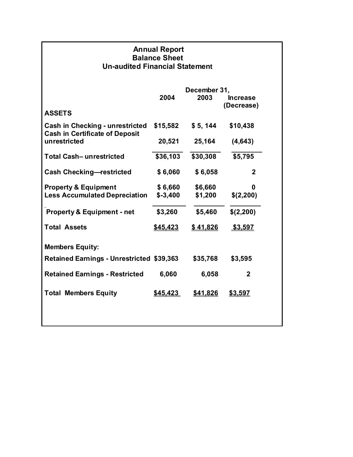| <b>Annual Report</b><br><b>Balance Sheet</b><br><b>Un-audited Financial Statement</b> |                    |                               |  |  |  |  |  |
|---------------------------------------------------------------------------------------|--------------------|-------------------------------|--|--|--|--|--|
| December 31,                                                                          |                    |                               |  |  |  |  |  |
| 2004                                                                                  | 2003               | <b>Increase</b><br>(Decrease) |  |  |  |  |  |
|                                                                                       |                    |                               |  |  |  |  |  |
| \$15,582                                                                              | \$5, 144           | \$10,438                      |  |  |  |  |  |
| 20,521                                                                                | 25,164             | (4, 643)                      |  |  |  |  |  |
|                                                                                       | \$30,308           | \$5,795                       |  |  |  |  |  |
| \$6,060                                                                               | \$6,058            | $\mathbf{2}$                  |  |  |  |  |  |
| \$6,660<br>$$ -3,400$                                                                 | \$6,660<br>\$1,200 | 0<br>\$(2,200)                |  |  |  |  |  |
| \$3,260                                                                               | \$5,460            | \$(2,200)                     |  |  |  |  |  |
| \$45,423                                                                              | \$41,826           | \$3,597                       |  |  |  |  |  |
|                                                                                       |                    |                               |  |  |  |  |  |
| <b>Retained Earnings - Unrestricted \$39,363</b>                                      | \$35,768           | \$3,595                       |  |  |  |  |  |
| 6,060                                                                                 | 6,058              | $\mathbf{2}$                  |  |  |  |  |  |
| \$45,423                                                                              | \$41.826           | <u>\$3.597</u>                |  |  |  |  |  |
|                                                                                       |                    | \$36,103                      |  |  |  |  |  |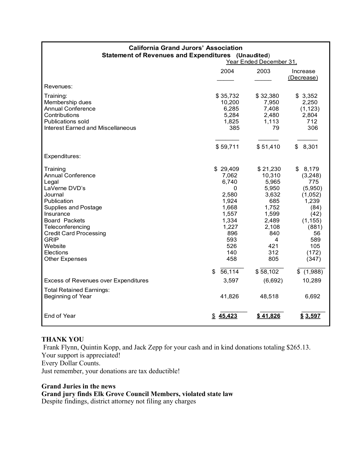<span id="page-6-0"></span>

| <b>Statement of Revenues and Expenditures (Unaudited)</b><br>Year Ended December 31,                                                                                                                                                                                              |                                                                                                                                    |                                                                                                                                       |                                                                                                                                     |  |  |
|-----------------------------------------------------------------------------------------------------------------------------------------------------------------------------------------------------------------------------------------------------------------------------------|------------------------------------------------------------------------------------------------------------------------------------|---------------------------------------------------------------------------------------------------------------------------------------|-------------------------------------------------------------------------------------------------------------------------------------|--|--|
|                                                                                                                                                                                                                                                                                   | 2004                                                                                                                               | 2003                                                                                                                                  | Increase<br>(Decrease)                                                                                                              |  |  |
| Revenues:                                                                                                                                                                                                                                                                         |                                                                                                                                    |                                                                                                                                       |                                                                                                                                     |  |  |
| Training:<br>Membership dues<br><b>Annual Conference</b><br>Contributions<br><b>Publications sold</b><br>Interest Earned and Miscellaneous                                                                                                                                        | \$35,732<br>10,200<br>6,285<br>5,284<br>1,825<br>385                                                                               | \$32,380<br>7,950<br>7,408<br>2,480<br>1,113<br>79                                                                                    | \$3,352<br>2,250<br>(1, 123)<br>2,804<br>712<br>306                                                                                 |  |  |
|                                                                                                                                                                                                                                                                                   | \$59,711                                                                                                                           | \$51,410                                                                                                                              | 8,301<br>\$                                                                                                                         |  |  |
| Expenditures:                                                                                                                                                                                                                                                                     |                                                                                                                                    |                                                                                                                                       |                                                                                                                                     |  |  |
| Training<br><b>Annual Conference</b><br>Legal<br>LaVerne DVD's<br>Journal<br>Publication<br><b>Supplies and Postage</b><br>Insurance<br><b>Board Packets</b><br>Teleconferencing<br><b>Credit Card Processing</b><br><b>GRIP</b><br>Website<br>Elections<br><b>Other Expenses</b> | \$29,409<br>7,062<br>6,740<br>0<br>2,580<br>1,924<br>1,668<br>1,557<br>1,334<br>1,227<br>896<br>593<br>526<br>140<br>458<br>56,114 | \$21,230<br>10,310<br>5,965<br>5,950<br>3,632<br>685<br>1,752<br>1,599<br>2,489<br>2,108<br>840<br>4<br>421<br>312<br>805<br>\$58,102 | \$8,179<br>(3,248)<br>775<br>(5,950)<br>(1,052)<br>1,239<br>(84)<br>(42)<br>(1, 155)<br>(881)<br>56<br>589<br>105<br>(172)<br>(347) |  |  |
| <b>Excess of Revenues over Expenditures</b>                                                                                                                                                                                                                                       | \$<br>3,597                                                                                                                        | (6,692)                                                                                                                               | \$(1,988)<br>10,289                                                                                                                 |  |  |
| <b>Total Retained Earnings:</b><br>Beginning of Year                                                                                                                                                                                                                              | 41,826                                                                                                                             | 48,518                                                                                                                                | 6,692                                                                                                                               |  |  |
| End of Year                                                                                                                                                                                                                                                                       | \$45,423                                                                                                                           | \$41,826                                                                                                                              | \$3,597                                                                                                                             |  |  |

# **California Grand Jurors' Association**

### **THANK YOU**

Frank Flynn, Quintin Kopp, and Jack Zepp for your cash and in kind donations totaling \$265.13. Your support is appreciated! Every Dollar Counts.

Just remember, your donations are tax deductible!

**Grand Juries in the news Grand jury finds Elk Grove Council Members, violated state law**  Despite findings, district attorney not filing any charges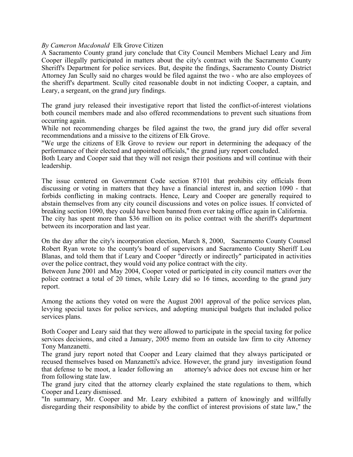### *By Cameron Macdonald* Elk Grove Citizen

A Sacramento County grand jury conclude that City Council Members Michael Leary and Jim Cooper illegally participated in matters about the city's contract with the Sacramento County Sheriff's Department for police services. But, despite the findings, Sacramento County District Attorney Jan Scully said no charges would be filed against the two - who are also employees of the sheriff's department. Scully cited reasonable doubt in not indicting Cooper, a captain, and Leary, a sergeant, on the grand jury findings.

The grand jury released their investigative report that listed the conflict-of-interest violations both council members made and also offered recommendations to prevent such situations from occurring again.

While not recommending charges be filed against the two, the grand jury did offer several recommendations and a missive to the citizens of Elk Grove.

"We urge the citizens of Elk Grove to review our report in determining the adequacy of the performance of their elected and appointed officials," the grand jury report concluded.

Both Leary and Cooper said that they will not resign their positions and will continue with their leadership.

The issue centered on Government Code section 87101 that prohibits city officials from discussing or voting in matters that they have a financial interest in, and section 1090 - that forbids conflicting in making contracts. Hence, Leary and Cooper are generally required to abstain themselves from any city council discussions and votes on police issues. If convicted of breaking section 1090, they could have been banned from ever taking office again in California. The city has spent more than \$36 million on its police contract with the sheriff's department

between its incorporation and last year.

On the day after the city's incorporation election, March 8, 2000, Sacramento County Counsel Robert Ryan wrote to the county's board of supervisors and Sacramento County Sheriff Lou Blanas, and told them that if Leary and Cooper "directly or indirectly" participated in activities over the police contract, they would void any police contract with the city.

Between June 2001 and May 2004, Cooper voted or participated in city council matters over the police contract a total of 20 times, while Leary did so 16 times, according to the grand jury report.

Among the actions they voted on were the August 2001 approval of the police services plan, levying special taxes for police services, and adopting municipal budgets that included police services plans.

Both Cooper and Leary said that they were allowed to participate in the special taxing for police services decisions, and cited a January, 2005 memo from an outside law firm to city Attorney Tony Manzanetti.

The grand jury report noted that Cooper and Leary claimed that they always participated or recused themselves based on Manzanetti's advice. However, the grand jury investigation found that defense to be moot, a leader following an attorney's advice does not excuse him or her from following state law.

The grand jury cited that the attorney clearly explained the state regulations to them, which Cooper and Leary dismissed.

"In summary, Mr. Cooper and Mr. Leary exhibited a pattern of knowingly and willfully disregarding their responsibility to abide by the conflict of interest provisions of state law," the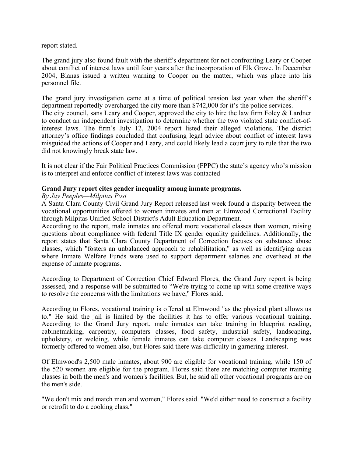<span id="page-8-0"></span>report stated.

The grand jury also found fault with the sheriff's department for not confronting Leary or Cooper about conflict of interest laws until four years after the incorporation of Elk Grove. In December 2004, Blanas issued a written warning to Cooper on the matter, which was place into his personnel file.

The grand jury investigation came at a time of political tension last year when the sheriff's department reportedly overcharged the city more than \$742,000 for it's the police services. The city council, sans Leary and Cooper, approved the city to hire the law firm Foley & Lardner to conduct an independent investigation to determine whether the two violated state conflict-ofinterest laws. The firm's July 12, 2004 report listed their alleged violations. The district attorney's office findings concluded that confusing legal advice about conflict of interest laws misguided the actions of Cooper and Leary, and could likely lead a court jury to rule that the two did not knowingly break state law.

It is not clear if the Fair Political Practices Commission (FPPC) the state's agency who's mission is to interpret and enforce conflict of interest laws was contacted

### **Grand Jury report cites gender inequality among inmate programs.**

### *By Jay Peeples—Milpitas Post*

A Santa Clara County Civil Grand Jury Report released last week found a disparity between the vocational opportunities offered to women inmates and men at Elmwood Correctional Facility through Milpitas Unified School District's Adult Education Department.

According to the report, male inmates are offered more vocational classes than women, raising questions about compliance with federal Title IX gender equality guidelines. Additionally, the report states that Santa Clara County Department of Correction focuses on substance abuse classes, which "fosters an unbalanced approach to rehabilitation," as well as identifying areas where Inmate Welfare Funds were used to support department salaries and overhead at the expense of inmate programs.

According to Department of Correction Chief Edward Flores, the Grand Jury report is being assessed, and a response will be submitted to "We're trying to come up with some creative ways to resolve the concerns with the limitations we have," Flores said.

According to Flores, vocational training is offered at Elmwood "as the physical plant allows us to." He said the jail is limited by the facilities it has to offer various vocational training. According to the Grand Jury report, male inmates can take training in blueprint reading, cabinetmaking, carpentry, computers classes, food safety, industrial safety, landscaping, upholstery, or welding, while female inmates can take computer classes. Landscaping was formerly offered to women also, but Flores said there was difficulty in garnering interest.

Of Elmwood's 2,500 male inmates, about 900 are eligible for vocational training, while 150 of the 520 women are eligible for the program. Flores said there are matching computer training classes in both the men's and women's facilities. But, he said all other vocational programs are on the men's side.

"We don't mix and match men and women," Flores said. "We'd either need to construct a facility or retrofit to do a cooking class."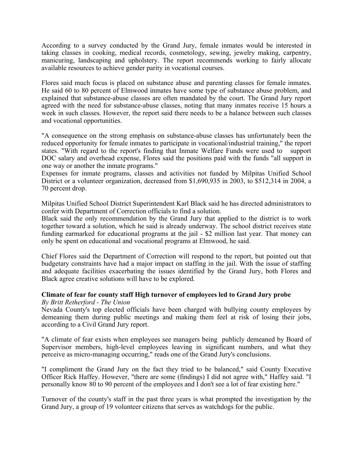<span id="page-9-0"></span>According to a survey conducted by the Grand Jury, female inmates would be interested in taking classes in cooking, medical records, cosmetology, sewing, jewelry making, carpentry, manicuring, landscaping and upholstery. The report recommends working to fairly allocate available resources to achieve gender parity in vocational courses.

Flores said much focus is placed on substance abuse and parenting classes for female inmates. He said 60 to 80 percent of Elmwood inmates have some type of substance abuse problem, and explained that substance-abuse classes are often mandated by the court. The Grand Jury report agreed with the need for substance-abuse classes, noting that many inmates receive 15 hours a week in such classes. However, the report said there needs to be a balance between such classes and vocational opportunities.

"A consequence on the strong emphasis on substance-abuse classes has unfortunately been the reduced opportunity for female inmates to participate in vocational/industrial training," the report states. "With regard to the report's finding that Inmate Welfare Funds were used to support DOC salary and overhead expense, Flores said the positions paid with the funds "all support in one way or another the inmate programs."

Expenses for inmate programs, classes and activities not funded by Milpitas Unified School District or a volunteer organization, decreased from \$1,690,935 in 2003, to \$512,314 in 2004, a 70 percent drop.

Milpitas Unified School District Superintendent Karl Black said he has directed administrators to confer with Department of Correction officials to find a solution.

Black said the only recommendation by the Grand Jury that applied to the district is to work together toward a solution, which he said is already underway. The school district receives state funding earmarked for educational programs at the jail - \$2 million last year. That money can only be spent on educational and vocational programs at Elmwood, he said.

Chief Flores said the Department of Correction will respond to the report, but pointed out that budgetary constraints have had a major impact on staffing in the jail. With the issue of staffing and adequate facilities exacerbating the issues identified by the Grand Jury, both Flores and Black agree creative solutions will have to be explored.

# **Climate of fear for county staff High turnover of employees led to Grand Jury probe**

*By Britt Retherford - The Union* 

Nevada County's top elected officials have been charged with bullying county employees by demeaning them during public meetings and making them feel at risk of losing their jobs, according to a Civil Grand Jury report.

"A climate of fear exists when employees see managers being publicly demeaned by Board of Supervisor members, high-level employees leaving in significant numbers, and what they perceive as micro-managing occurring," reads one of the Grand Jury's conclusions.

"I compliment the Grand Jury on the fact they tried to be balanced," said County Executive Officer Rick Haffey. However, "there are some (findings) I did not agree with," Haffey said. "I personally know 80 to 90 percent of the employees and I don't see a lot of fear existing here."

Turnover of the county's staff in the past three years is what prompted the investigation by the Grand Jury, a group of 19 volunteer citizens that serves as watchdogs for the public.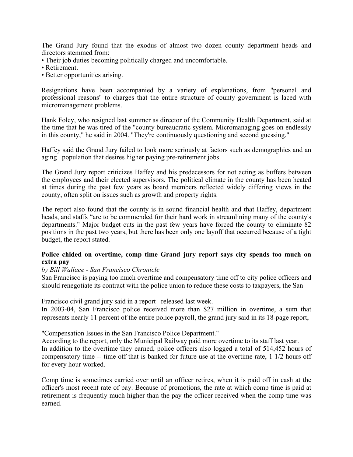<span id="page-10-0"></span>The Grand Jury found that the exodus of almost two dozen county department heads and directors stemmed from:

- Their job duties becoming politically charged and uncomfortable.
- Retirement.
- Better opportunities arising.

Resignations have been accompanied by a variety of explanations, from "personal and professional reasons" to charges that the entire structure of county government is laced with micromanagement problems.

Hank Foley, who resigned last summer as director of the Community Health Department, said at the time that he was tired of the "county bureaucratic system. Micromanaging goes on endlessly in this county," he said in 2004. "They're continuously questioning and second guessing."

Haffey said the Grand Jury failed to look more seriously at factors such as demographics and an aging population that desires higher paying pre-retirement jobs.

The Grand Jury report criticizes Haffey and his predecessors for not acting as buffers between the employees and their elected supervisors. The political climate in the county has been heated at times during the past few years as board members reflected widely differing views in the county, often split on issues such as growth and property rights.

The report also found that the county is in sound financial health and that Haffey, department heads, and staffs "are to be commended for their hard work in streamlining many of the county's departments." Major budget cuts in the past few years have forced the county to eliminate 82 positions in the past two years, but there has been only one layoff that occurred because of a tight budget, the report stated.

### **Police chided on overtime, comp time Grand jury report says city spends too much on extra pay**

### *by Bill Wallace - San Francisco Chronicle*

San Francisco is paying too much overtime and compensatory time off to city police officers and should renegotiate its contract with the police union to reduce these costs to taxpayers, the San

Francisco civil grand jury said in a report released last week.

In 2003-04, San Francisco police received more than \$27 million in overtime, a sum that represents nearly 11 percent of the entire police payroll, the grand jury said in its 18-page report,

"Compensation Issues in the San Francisco Police Department."

According to the report, only the Municipal Railway paid more overtime to its staff last year. In addition to the overtime they earned, police officers also logged a total of 514,452 hours of compensatory time -- time off that is banked for future use at the overtime rate, 1 1/2 hours off for every hour worked.

Comp time is sometimes carried over until an officer retires, when it is paid off in cash at the officer's most recent rate of pay. Because of promotions, the rate at which comp time is paid at retirement is frequently much higher than the pay the officer received when the comp time was earned.